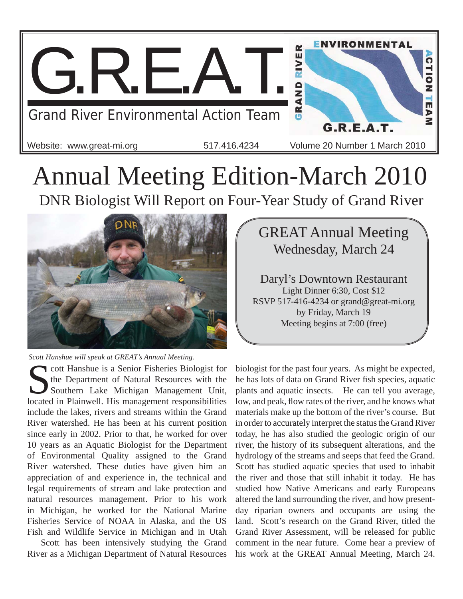

## Annual Meeting Edition-March 2010 DNR Biologist Will Report on Four-Year Study of Grand River



*Scott Hanshue will speak at GREAT's Annual Meeting.*

Cott Hanshue is a Senior Fisheries Biologist for<br>the Department of Natural Resources with the<br>Southern Lake Michigan Management Unit, the Department of Natural Resources with the Southern Lake Michigan Management Unit, located in Plainwell. His management responsibilities include the lakes, rivers and streams within the Grand River watershed. He has been at his current position since early in 2002. Prior to that, he worked for over 10 years as an Aquatic Biologist for the Department of Environmental Quality assigned to the Grand River watershed. These duties have given him an appreciation of and experience in, the technical and legal requirements of stream and lake protection and natural resources management. Prior to his work in Michigan, he worked for the National Marine Fisheries Service of NOAA in Alaska, and the US Fish and Wildlife Service in Michigan and in Utah

Scott has been intensively studying the Grand River as a Michigan Department of Natural Resources

GREAT Annual Meeting Wednesday, March 24 Daryl's Downtown Restaurant Light Dinner 6:30, Cost \$12 RSVP 517-416-4234 or grand@great-mi.org

by Friday, March 19 Meeting begins at 7:00 (free)

biologist for the past four years. As might be expected, he has lots of data on Grand River fish species, aquatic plants and aquatic insects. He can tell you average, low, and peak, flow rates of the river, and he knows what materials make up the bottom of the river's course. But in order to accurately interpret the status the Grand River today, he has also studied the geologic origin of our river, the history of its subsequent alterations, and the hydrology of the streams and seeps that feed the Grand. Scott has studied aquatic species that used to inhabit the river and those that still inhabit it today. He has studied how Native Americans and early Europeans altered the land surrounding the river, and how presentday riparian owners and occupants are using the land. Scott's research on the Grand River, titled the Grand River Assessment, will be released for public comment in the near future. Come hear a preview of his work at the GREAT Annual Meeting, March 24.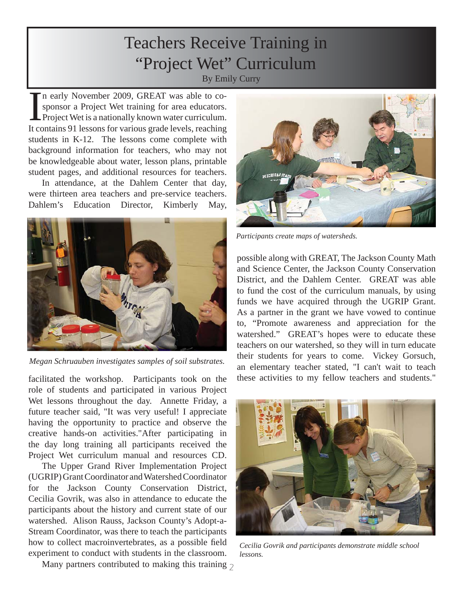#### Teachers Receive Training in "Project Wet" Curriculum By Emily Curry

In early November 2009, GREAT was able to cosponsor a Project Wet training for area educators.<br>Project Wet is a nationally known water curriculum.<br>It contains 91 lessons for various grade levels, reaching n early November 2009, GREAT was able to cosponsor a Project Wet training for area educators. Project Wet is a nationally known water curriculum. students in K-12. The lessons come complete with background information for teachers, who may not be knowledgeable about water, lesson plans, printable student pages, and additional resources for teachers.

In attendance, at the Dahlem Center that day, were thirteen area teachers and pre-service teachers. Dahlem's Education Director, Kimberly May,



*Megan Schruauben investigates samples of soil substrates.*

facilitated the workshop. Participants took on the role of students and participated in various Project Wet lessons throughout the day. Annette Friday, a future teacher said, "It was very useful! I appreciate having the opportunity to practice and observe the creative hands-on activities."After participating in the day long training all participants received the Project Wet curriculum manual and resources CD.

The Upper Grand River Implementation Project (UGRIP) Grant Coordinator and Watershed Coordinator for the Jackson County Conservation District, Cecilia Govrik, was also in attendance to educate the participants about the history and current state of our watershed. Alison Rauss, Jackson County's Adopt-a-Stream Coordinator, was there to teach the participants how to collect macroinvertebrates, as a possible field experiment to conduct with students in the classroom.



District, and the Dahlem Center. GREAT was able to fund the cost of the curriculum manuals, by using funds we have acquired through the UGRIP Grant. As a partner in the grant we have vowed to continue to, "Promote awareness and appreciation for the watershed." GREAT's hopes were to educate these teachers on our watershed, so they will in turn educate their students for years to come. Vickey Gorsuch, an elementary teacher stated, "I can't wait to teach these activities to my fellow teachers and students."



*Cecilia Govrik and participants demonstrate middle school lessons.*

Many partners contributed to making this training  $\frac{1}{2}$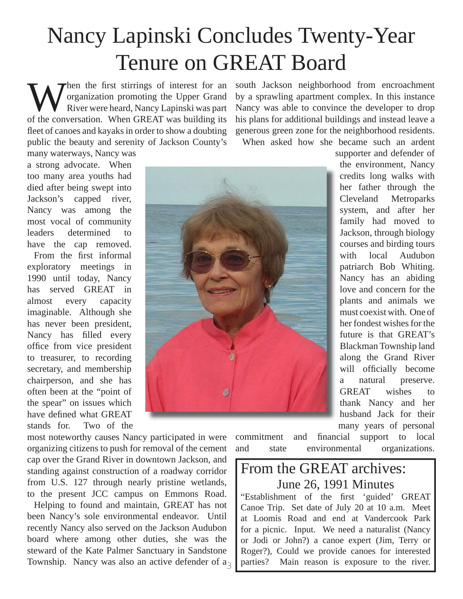## Nancy Lapinski Concludes Twenty-Year Tenure on GREAT Board

When the first stirrings of interest for an organization promoting the Upper Grand<br>River were heard, Nancy Lapinski was part<br>of the conversation, When GBEAT was building its organization promoting the Upper Grand River were heard, Nancy Lapinski was part of the conversation. When GREAT was building its fleet of canoes and kayaks in order to show a doubting public the beauty and serenity of Jackson County's

south Jackson neighborhood from encroachment by a sprawling apartment complex. In this instance Nancy was able to convince the developer to drop his plans for additional buildings and instead leave a generous green zone for the neighborhood residents.

When asked how she became such an ardent

many waterways, Nancy was a strong advocate. When too many area youths had died after being swept into Jackson's capped river, Nancy was among the most vocal of community leaders determined to have the cap removed.

From the first informal exploratory meetings in 1990 until today, Nancy has served GREAT in almost every capacity imaginable. Although she has never been president, Nancy has filled every office from vice president to treasurer, to recording secretary, and membership chairperson, and she has often been at the "point of the spear" on issues which have defined what GREAT stands for. Two of the

most noteworthy causes Nancy participated in were organizing citizens to push for removal of the cement cap over the Grand River in downtown Jackson, and standing against construction of a roadway corridor from U.S. 127 through nearly pristine wetlands, to the present JCC campus on Emmons Road.

Township. Nancy was also an active defender of  $a_3$ Helping to found and maintain, GREAT has not been Nancy's sole environmental endeavor. Until recently Nancy also served on the Jackson Audubon board where among other duties, she was the steward of the Kate Palmer Sanctuary in Sandstone



supporter and defender of the environment, Nancy credits long walks with her father through the Cleveland Metroparks system, and after her family had moved to Jackson, through biology courses and birding tours with local Audubon patriarch Bob Whiting. Nancy has an abiding love and concern for the plants and animals we must coexist with. One of her fondest wishes for the future is that GREAT's Blackman Township land along the Grand River will officially become a natural preserve. GREAT wishes to thank Nancy and her husband Jack for their many years of personal

commitment and financial support to local and state environmental organizations.

#### From the GREAT archives: June 26, 1991 Minutes

"Establishment of the first 'guided' GREAT Canoe Trip. Set date of July 20 at 10 a.m. Meet at Loomis Road and end at Vandercook Park for a picnic. Input. We need a naturalist (Nancy or Jodi or John?) a canoe expert (Jim, Terry or Roger?), Could we provide canoes for interested parties? Main reason is exposure to the river.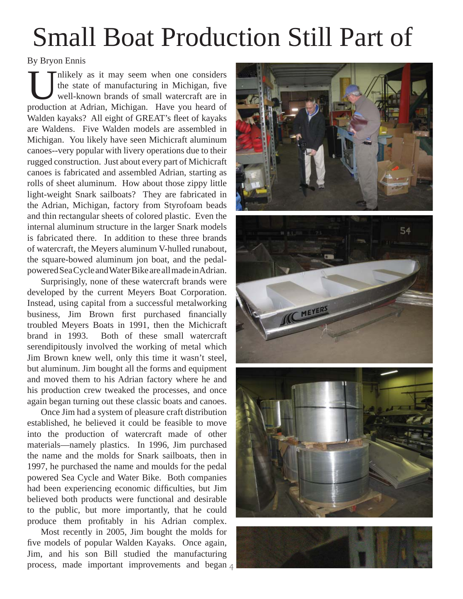# Small Boat Production Still Part of

#### By Bryon Ennis

Inlikely as it may seem when one considers the state of manufacturing in Michigan, five well-known brands of small watercraft are in production at Adrian, Michigan. Have you heard of Walden kayaks? All eight of GREAT's fleet of kayaks are Waldens. Five Walden models are assembled in Michigan. You likely have seen Michicraft aluminum canoes--very popular with livery operations due to their rugged construction. Just about every part of Michicraft canoes is fabricated and assembled Adrian, starting as rolls of sheet aluminum. How about those zippy little light-weight Snark sailboats? They are fabricated in the Adrian, Michigan, factory from Styrofoam beads and thin rectangular sheets of colored plastic. Even the internal aluminum structure in the larger Snark models is fabricated there. In addition to these three brands of watercraft, the Meyers aluminum V-hulled runabout, the square-bowed aluminum jon boat, and the pedalpowered Sea Cycle and Water Bike are all made in Adrian.

Surprisingly, none of these watercraft brands were developed by the current Meyers Boat Corporation. Instead, using capital from a successful metalworking business, Jim Brown first purchased financially troubled Meyers Boats in 1991, then the Michicraft brand in 1993. Both of these small watercraft serendipitously involved the working of metal which Jim Brown knew well, only this time it wasn't steel, but aluminum. Jim bought all the forms and equipment and moved them to his Adrian factory where he and his production crew tweaked the processes, and once again began turning out these classic boats and canoes.

Once Jim had a system of pleasure craft distribution established, he believed it could be feasible to move into the production of watercraft made of other materials—namely plastics. In 1996, Jim purchased the name and the molds for Snark sailboats, then in 1997, he purchased the name and moulds for the pedal powered Sea Cycle and Water Bike. Both companies had been experiencing economic difficulties, but Jim believed both products were functional and desirable to the public, but more importantly, that he could produce them profitably in his Adrian complex.

process, made important improvements and began 4 Most recently in 2005, Jim bought the molds for five models of popular Walden Kayaks. Once again, Jim, and his son Bill studied the manufacturing



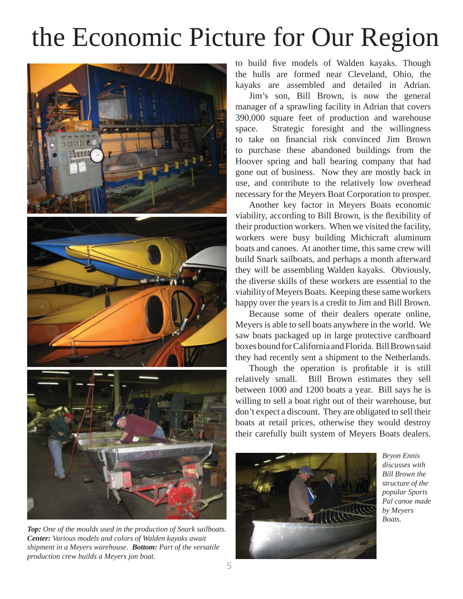# the Economic Picture for Our Region







*Top: One of the moulds used in the production of Snark sailboats. Center: Various models and colors of Walden kayaks await shipment in a Meyers warehouse. Bottom: Part of the versatile production crew builds a Meyers jon boat.*

to build five models of Walden kayaks. Though the hulls are formed near Cleveland, Ohio, the kayaks are assembled and detailed in Adrian.

Jim's son, Bill Brown, is now the general manager of a sprawling facility in Adrian that covers 390,000 square feet of production and warehouse space. Strategic foresight and the willingness to take on financial risk convinced Jim Brown to purchase these abandoned buildings from the Hoover spring and ball bearing company that had gone out of business. Now they are mostly back in use, and contribute to the relatively low overhead necessary for the Meyers Boat Corporation to prosper.

Another key factor in Meyers Boats economic viability, according to Bill Brown, is the flexibility of their production workers. When we visited the facility, workers were busy building Michicraft aluminum boats and canoes. At another time, this same crew will build Snark sailboats, and perhaps a month afterward they will be assembling Walden kayaks. Obviously, the diverse skills of these workers are essential to the viability of Meyers Boats. Keeping these same workers happy over the years is a credit to Jim and Bill Brown.

Because some of their dealers operate online, Meyers is able to sell boats anywhere in the world. We saw boats packaged up in large protective cardboard boxes bound for California and Florida. Bill Brown said they had recently sent a shipment to the Netherlands.

Though the operation is profitable it is still relatively small. Bill Brown estimates they sell between 1000 and 1200 boats a year. Bill says he is willing to sell a boat right out of their warehouse, but don't expect a discount. They are obligated to sell their boats at retail prices, otherwise they would destroy their carefully built system of Meyers Boats dealers.



*Bryon Ennis discusses with Bill Brown the structure of the popular Sports Pal canoe made by Meyers Boats.*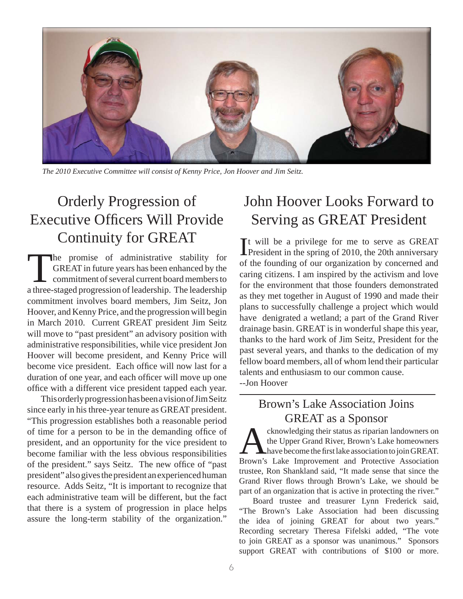

*The 2010 Executive Committee will consist of Kenny Price, Jon Hoover and Jim Seitz.*

### Orderly Progression of Executive Officers Will Provide Continuity for GREAT

The promise of administrative stability for GREAT in future years has been enhanced by the commitment of several current board members to a three-staged progression of leadership. The leadership commitment involves board members, Jim Seitz, Jon Hoover, and Kenny Price, and the progression will begin in March 2010. Current GREAT president Jim Seitz will move to "past president" an advisory position with administrative responsibilities, while vice president Jon Hoover will become president, and Kenny Price will become vice president. Each office will now last for a duration of one year, and each officer will move up one office with a different vice president tapped each year.

This orderly progression has been a vision of Jim Seitz since early in his three-year tenure as GREAT president. "This progression establishes both a reasonable period of time for a person to be in the demanding office of president, and an opportunity for the vice president to become familiar with the less obvious responsibilities of the president." says Seitz. The new office of "past" president" also gives the president an experienced human resource. Adds Seitz, "It is important to recognize that each administrative team will be different, but the fact that there is a system of progression in place helps assure the long-term stability of the organization."

#### John Hoover Looks Forward to Serving as GREAT President

It will be a privilege for me to serve as GREAT<br>President in the spring of 2010, the 20th anniversary It will be a privilege for me to serve as GREAT of the founding of our organization by concerned and caring citizens. I am inspired by the activism and love for the environment that those founders demonstrated as they met together in August of 1990 and made their plans to successfully challenge a project which would have denigrated a wetland; a part of the Grand River drainage basin. GREAT is in wonderful shape this year, thanks to the hard work of Jim Seitz, President for the past several years, and thanks to the dedication of my fellow board members, all of whom lend their particular talents and enthusiasm to our common cause. --Jon Hoover

#### Brown's Lake Association Joins GREAT as a Sponsor

cknowledging their status as riparian landowners on the Upper Grand River, Brown's Lake homeowners have become the first lake association to join GREAT. Brown's Lake Improvement and Protective Association trustee, Ron Shankland said, "It made sense that since the Grand River flows through Brown's Lake, we should be part of an organization that is active in protecting the river."

Board trustee and treasurer Lynn Frederick said, "The Brown's Lake Association had been discussing the idea of joining GREAT for about two years." Recording secretary Theresa Fifelski added, "The vote to join GREAT as a sponsor was unanimous." Sponsors support GREAT with contributions of \$100 or more.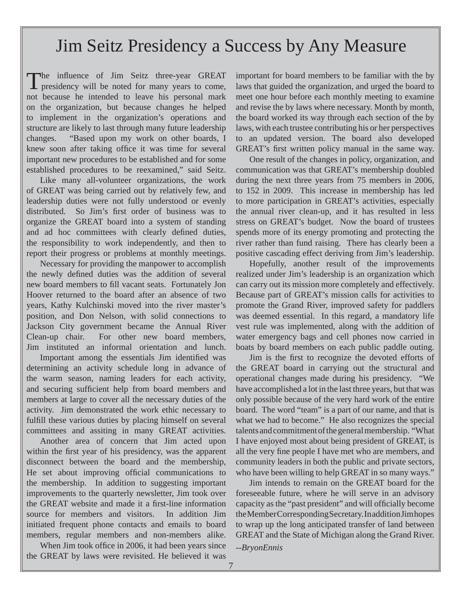### Jim Seitz Presidency a Success by Any Measure

The influence of Jim Seitz three-year GREAT presidency will be noted for many years to come, not because he intended to leave his personal mark on the organization, but because changes he helped to implement in the organization's operations and structure are likely to last through many future leadership changes. "Based upon my work on other boards, I knew soon after taking office it was time for several important new procedures to be established and for some established procedures to be reexamined," said Seitz.

Like many all-volunteer organizations, the work of GREAT was being carried out by relatively few, and leadership duties were not fully understood or evenly distributed. So Jim's first order of business was to organize the GREAT board into a system of standing and ad hoc committees with clearly defined duties, the responsibility to work independently, and then to report their progress or problems at monthly meetings.

Necessary for providing the manpower to accomplish the newly defined duties was the addition of several new board members to fill vacant seats. Fortunately Jon Hoover returned to the board after an absence of two years, Kathy Kulchinski moved into the river master's position, and Don Nelson, with solid connections to Jackson City government became the Annual River Clean-up chair. For other new board members, Jim instituted an informal orientation and lunch.

Important among the essentials Jim identified was determining an activity schedule long in advance of the warm season, naming leaders for each activity, and securing sufficient help from board members and members at large to cover all the necessary duties of the activity. Jim demonstrated the work ethic necessary to fulfill these various duties by placing himself on several committees and assiting in many GREAT activities.

Another area of concern that Jim acted upon within the first year of his presidency, was the apparent disconnect between the board and the membership, He set about improving official communications to the membership. In addition to suggesting important improvements to the quarterly newsletter, Jim took over the GREAT website and made it a first-line information source for members and visitors. In addition Jim initiated frequent phone contacts and emails to board members, regular members and non-members alike.

When Jim took office in 2006, it had been years since the GREAT by laws were revisited. He believed it was

important for board members to be familiar with the by laws that guided the organization, and urged the board to meet one hour before each monthly meeting to examine and revise the by laws where necessary. Month by month, the board worked its way through each section of the by laws, with each trustee contributing his or her perspectives to an updated version. The board also developed GREAT's first written policy manual in the same way.

One result of the changes in policy, organization, and communication was that GREAT's membership doubled during the next three years from 75 members in 2006, to 152 in 2009. This increase in membership has led to more participation in GREAT's activities, especially the annual river clean-up, and it has resulted in less stress on GREAT's budget. Now the board of trustees spends more of its energy promoting and protecting the river rather than fund raising. There has clearly been a positive cascading effect deriving from Jim's leadership.

Hopefully, another result of the improvements realized under Jim's leadership is an organization which can carry out its mission more completely and effectively. Because part of GREAT's mission calls for activities to promote the Grand River, improved safety for paddlers was deemed essential. In this regard, a mandatory life vest rule was implemented, along with the addition of water emergency bags and cell phones now carried in boats by board members on each public paddle outing.

Jim is the first to recognize the devoted efforts of the GREAT board in carrying out the structural and operational changes made during his presidency. "We have accomplished a lot in the last three years, but that was only possible because of the very hard work of the entire board. The word "team" is a part of our name, and that is what we had to become." He also recognizes the special talents and commitment of the general membership. "What I have enjoyed most about being president of GREAT, is all the very fine people I have met who are members, and community leaders in both the public and private sectors, who have been willing to help GREAT in so many ways."

Jim intends to remain on the GREAT board for the foreseeable future, where he will serve in an advisory capacity as the "past president" and will officially become the Member Corresponding Secretary. In addition Jim hopes to wrap up the long anticipated transfer of land between GREAT and the State of Michigan along the Grand River.

*--BryonEnnis*